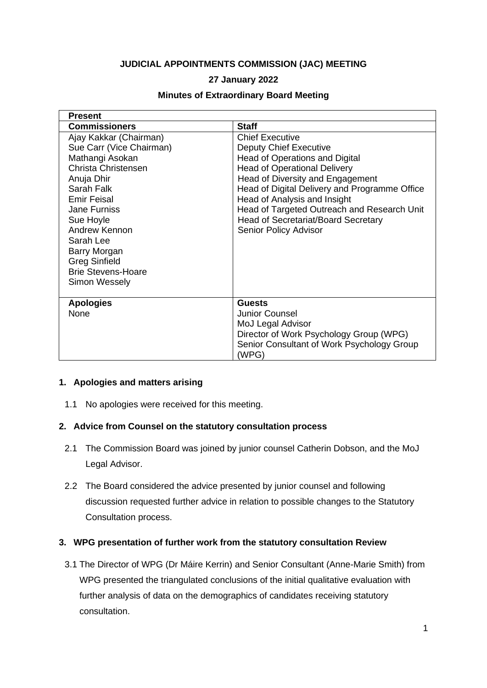#### **JUDICIAL APPOINTMENTS COMMISSION (JAC) MEETING**

## **27 January 2022**

#### **Minutes of Extraordinary Board Meeting**

| <b>Present</b>                                                                                                                                                                                                                                                                                  |                                                                                                                                                                                                                                                                                                                                                                             |
|-------------------------------------------------------------------------------------------------------------------------------------------------------------------------------------------------------------------------------------------------------------------------------------------------|-----------------------------------------------------------------------------------------------------------------------------------------------------------------------------------------------------------------------------------------------------------------------------------------------------------------------------------------------------------------------------|
| <b>Commissioners</b>                                                                                                                                                                                                                                                                            | <b>Staff</b>                                                                                                                                                                                                                                                                                                                                                                |
| Ajay Kakkar (Chairman)<br>Sue Carr (Vice Chairman)<br>Mathangi Asokan<br>Christa Christensen<br>Anuja Dhir<br>Sarah Falk<br>Emir Feisal<br>Jane Furniss<br>Sue Hoyle<br>Andrew Kennon<br>Sarah Lee<br>Barry Morgan<br><b>Greg Sinfield</b><br><b>Brie Stevens-Hoare</b><br><b>Simon Wessely</b> | <b>Chief Executive</b><br><b>Deputy Chief Executive</b><br>Head of Operations and Digital<br><b>Head of Operational Delivery</b><br>Head of Diversity and Engagement<br>Head of Digital Delivery and Programme Office<br>Head of Analysis and Insight<br>Head of Targeted Outreach and Research Unit<br><b>Head of Secretariat/Board Secretary</b><br>Senior Policy Advisor |
| <b>Apologies</b><br>None                                                                                                                                                                                                                                                                        | <b>Guests</b><br><b>Junior Counsel</b><br>MoJ Legal Advisor<br>Director of Work Psychology Group (WPG)<br>Senior Consultant of Work Psychology Group<br>(WPG)                                                                                                                                                                                                               |

#### **1. Apologies and matters arising**

1.1 No apologies were received for this meeting.

## **2. Advice from Counsel on the statutory consultation process**

- 2.1 The Commission Board was joined by junior counsel Catherin Dobson, and the MoJ Legal Advisor.
- 2.2 The Board considered the advice presented by junior counsel and following discussion requested further advice in relation to possible changes to the Statutory Consultation process.

## **3. WPG presentation of further work from the statutory consultation Review**

3.1 The Director of WPG (Dr Máire Kerrin) and Senior Consultant (Anne-Marie Smith) from WPG presented the triangulated conclusions of the initial qualitative evaluation with further analysis of data on the demographics of candidates receiving statutory consultation.